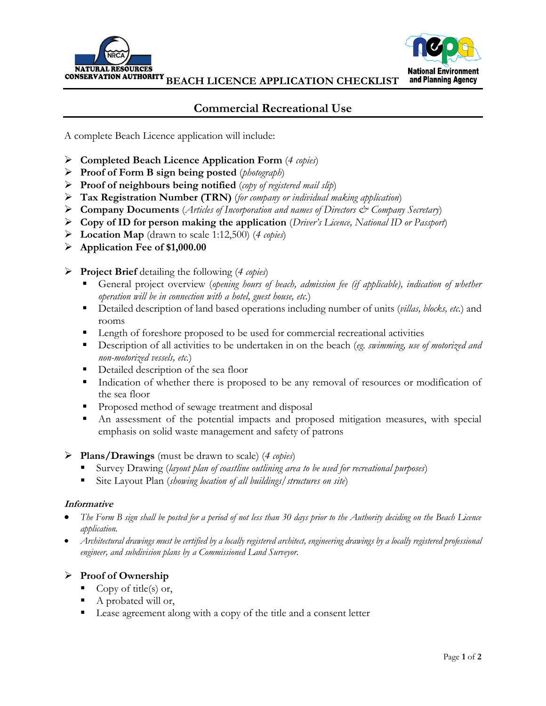



**BEACH LICENCE APPLICATION CHECKLIST**

# **Commercial Recreational Use**

A complete Beach Licence application will include:

- **Completed Beach Licence Application Form** (*4 copies*)
- **Proof of Form B sign being posted** (*photograph*)
- **Proof of neighbours being notified** (*copy of registered mail slip*)
- **Tax Registration Number (TRN)** (*for company or individual making application*)
- **Company Documents** (*Articles of Incorporation and names of Directors & Company Secretary*)
- **Copy of ID for person making the application** (*Driver's Licence, National ID or Passport*)
- **Location Map** (drawn to scale 1:12,500) (*4 copies*)
- **Application Fee of \$1,000.00**
- **Project Brief** detailing the following (*4 copies*)
	- General project overview (*opening hours of beach, admission fee (if applicable), indication of whether operation will be in connection with a hotel, guest house, etc.*)
	- Detailed description of land based operations including number of units (*villas, blocks, etc.*) and rooms
	- **EXECUTE:** Length of foreshore proposed to be used for commercial recreational activities
	- Description of all activities to be undertaken in on the beach (*eg. swimming, use of motorized and non-motorized vessels, etc.*)
	- **Detailed description of the sea floor**
	- Indication of whether there is proposed to be any removal of resources or modification of the sea floor
	- **Proposed method of sewage treatment and disposal**
	- An assessment of the potential impacts and proposed mitigation measures, with special emphasis on solid waste management and safety of patrons

### **Plans/Drawings** (must be drawn to scale) (*4 copies*)

- Survey Drawing (*layout plan of coastline outlining area to be used for recreational purposes*)
- Site Layout Plan (*showing location of all buildings/structures on site*)

#### **Informative**

- *The Form B sign shall be posted for a period of not less than 30 days prior to the Authority deciding on the Beach Licence application.*
- *Architectural drawings must be certified by a locally registered architect, engineering drawings by a locally registered professional engineer, and subdivision plans by a Commissioned Land Surveyor.*

## **Proof of Ownership**

- Copy of title(s) or,
- A probated will or,
- Lease agreement along with a copy of the title and a consent letter